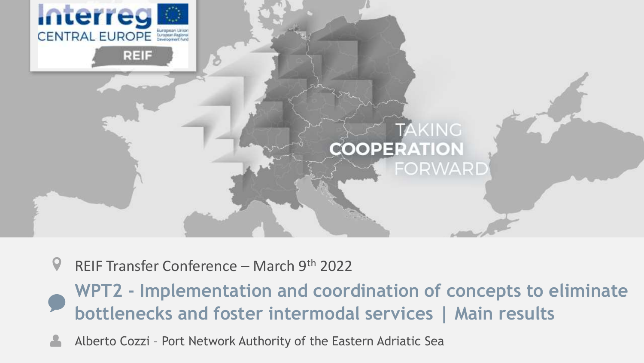

 $\boldsymbol{Q}$ REIF Transfer Conference – March 9th 2022

**WPT2 - Implementation and coordination of concepts to eliminate bottlenecks and foster intermodal services | Main results**

Alberto Cozzi – Port Network Authority of the Eastern Adriatic Sea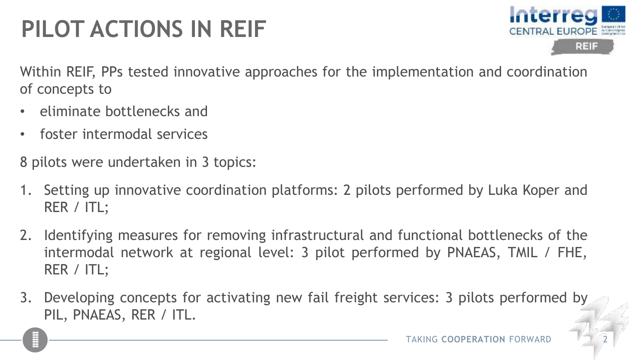# **PILOT ACTIONS IN REIF**



Within REIF, PPs tested innovative approaches for the implementation and coordination of concepts to

- eliminate bottlenecks and
- foster intermodal services

8 pilots were undertaken in 3 topics:

- 1. Setting up innovative coordination platforms: 2 pilots performed by Luka Koper and RER / ITL;
- 2. Identifying measures for removing infrastructural and functional bottlenecks of the intermodal network at regional level: 3 pilot performed by PNAEAS, TMIL / FHE, RER / ITL;
- 3. Developing concepts for activating new fail freight services: 3 pilots performed by PIL, PNAEAS, RER / ITL.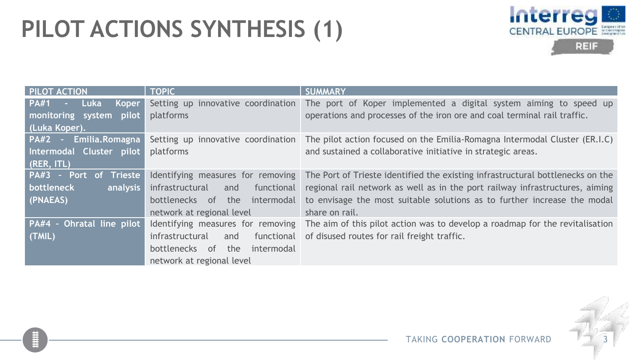### **PILOT ACTIONS SYNTHESIS (1)**



| <b>PILOT ACTION</b>                 | <b>TOPIC</b>                         | <b>SUMMARY</b>                                                                                                 |
|-------------------------------------|--------------------------------------|----------------------------------------------------------------------------------------------------------------|
| PA#1<br><b>Luka</b><br><b>Koper</b> | Setting up innovative coordination   | The port of Koper implemented a digital system aiming to speed up                                              |
| monitoring system<br>pilot          | platforms                            | operations and processes of the iron ore and coal terminal rail traffic.                                       |
| (Luka Koper).                       |                                      |                                                                                                                |
| $PA#2 -$<br>Emilia.Romagna          | Setting up innovative coordination   | The pilot action focused on the Emilia-Romagna Intermodal Cluster (ER.I.C)                                     |
| Intermodal Cluster pilot            | platforms                            | and sustained a collaborative initiative in strategic areas.                                                   |
| (RER, ITL)                          |                                      |                                                                                                                |
| PA#3 - Port of Trieste              | Identifying measures for removing    | The Port of Trieste identified the existing infrastructural bottlenecks on the                                 |
| bottleneck<br>analysis              | infrastructural<br>functional<br>and | regional rail network as well as in the port railway infrastructures, aiming                                   |
| (PNAEAS)                            | bottlenecks of the intermodal        | to envisage the most suitable solutions as to further increase the modal                                       |
|                                     | network at regional level            | share on rail.                                                                                                 |
| PA#4 - Ohratal line pilot           |                                      | Identifying measures for removing The aim of this pilot action was to develop a roadmap for the revitalisation |
| (TMIL)                              | infrastructural<br>functional<br>and | of disused routes for rail freight traffic.                                                                    |
|                                     | bottlenecks of the<br>intermodal     |                                                                                                                |
|                                     | network at regional level            |                                                                                                                |

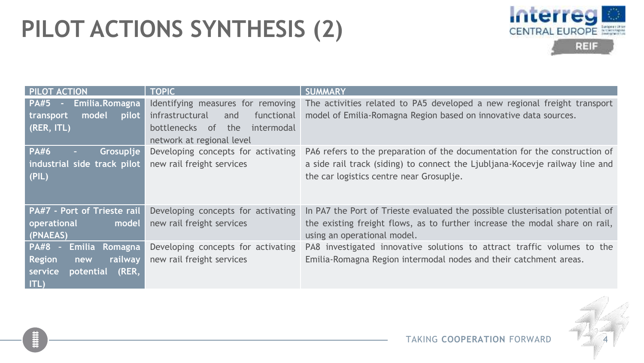### **PILOT ACTIONS SYNTHESIS (2)**



| <b>PILOT ACTION</b>                            | <b>TOPIC</b>                         | <b>SUMMARY</b>                                                                                             |
|------------------------------------------------|--------------------------------------|------------------------------------------------------------------------------------------------------------|
| <b>PA#5</b> -<br>Emilia.Romagna                |                                      | Identifying measures for removing The activities related to PA5 developed a new regional freight transport |
| model<br>pilot<br>transport                    | infrastructural<br>functional<br>and | model of Emilia-Romagna Region based on innovative data sources.                                           |
| (RER, ITL)                                     | bottlenecks of<br>the<br>intermodal  |                                                                                                            |
|                                                | network at regional level            |                                                                                                            |
| <b>PA#6</b><br>Grosuplje                       | Developing concepts for activating   | PA6 refers to the preparation of the documentation for the construction of                                 |
| industrial side track pilot                    | new rail freight services            | a side rail track (siding) to connect the Ljubljana-Kocevje railway line and                               |
| (PIL)                                          |                                      | the car logistics centre near Grosuplje.                                                                   |
|                                                |                                      |                                                                                                            |
|                                                |                                      |                                                                                                            |
| PA#7 - Port of Trieste rail                    | Developing concepts for activating   | In PA7 the Port of Trieste evaluated the possible clusterisation potential of                              |
| operational<br>model                           | new rail freight services            | the existing freight flows, as to further increase the modal share on rail,                                |
| (PNAEAS)                                       |                                      | using an operational model.                                                                                |
| <b>PA#8</b><br><b>Emilia Romagna</b><br>$\sim$ | Developing concepts for activating   | PA8 investigated innovative solutions to attract traffic volumes to the                                    |
| <b>Region</b><br>railway<br>new                | new rail freight services            | Emilia-Romagna Region intermodal nodes and their catchment areas.                                          |
| (RER,<br>service<br>potential <sup>'</sup>     |                                      |                                                                                                            |
| ITL)                                           |                                      |                                                                                                            |

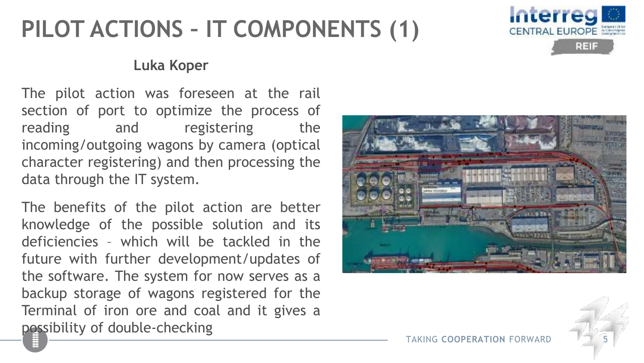# **PILOT ACTIONS – IT COMPONENTS (1)**



#### **Luka Koper**

The pilot action was foreseen at the rail section of port to optimize the process of reading and registering the incoming/outgoing wagons by camera (optical character registering) and then processing the data through the IT system.

The benefits of the pilot action are better knowledge of the possible solution and its deficiencies – which will be tackled in the future with further development/updates of the software. The system for now serves as a backup storage of wagons registered for the Terminal of iron ore and coal and it gives a possibility of double-checking



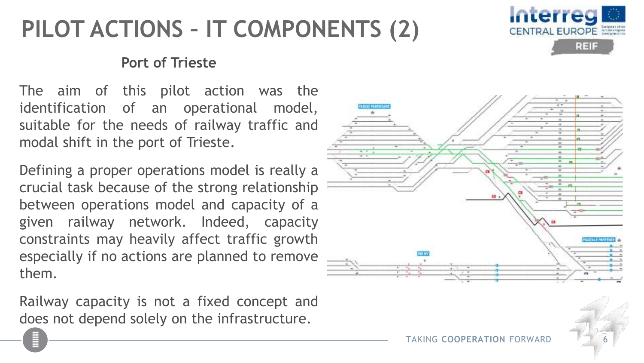# **PILOT ACTIONS – IT COMPONENTS (2)**



#### **Port of Trieste**

The aim of this pilot action was the identification of an operational model, suitable for the needs of railway traffic and modal shift in the port of Trieste.

Defining a proper operations model is really a crucial task because of the strong relationship between operations model and capacity of a given railway network. Indeed, capacity constraints may heavily affect traffic growth especially if no actions are planned to remove them.

Railway capacity is not a fixed concept and does not depend solely on the infrastructure.

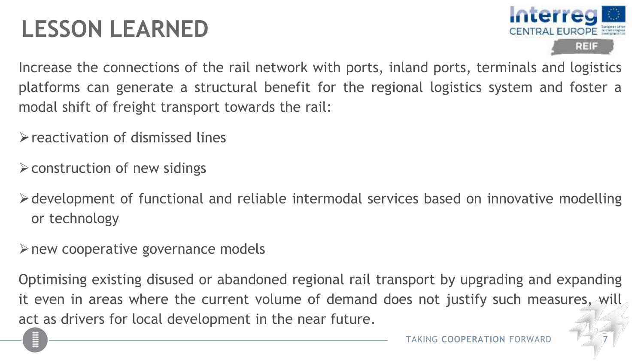### **LESSON LEARNED**



Increase the connections of the rail network with ports, inland ports, terminals and logistics platforms can generate a structural benefit for the regional logistics system and foster a modal shift of freight transport towards the rail:

➢reactivation of dismissed lines

➢construction of new sidings

➢development of functional and reliable intermodal services based on innovative modelling or technology

 $\triangleright$  new cooperative governance models

Optimising existing disused or abandoned regional rail transport by upgrading and expanding it even in areas where the current volume of demand does not justify such measures, will act as drivers for local development in the near future.